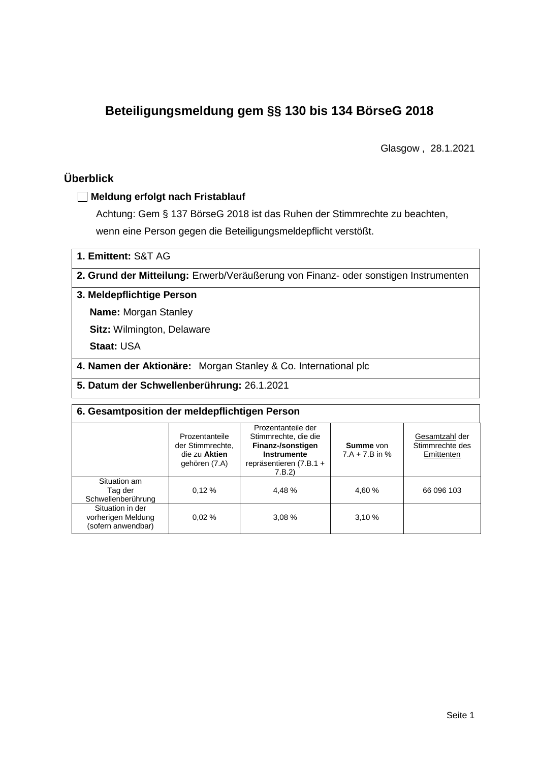# **Beteiligungsmeldung gem §§ 130 bis 134 BörseG 2018**

Glasgow , 28.1.2021

## **Überblick**

#### **Meldung erfolgt nach Fristablauf**

Achtung: Gem § 137 BörseG 2018 ist das Ruhen der Stimmrechte zu beachten, wenn eine Person gegen die Beteiligungsmeldepflicht verstößt.

**1. Emittent:** S&T AG

**2. Grund der Mitteilung:** Erwerb/Veräußerung von Finanz- oder sonstigen Instrumenten

#### **3. Meldepflichtige Person**

**Name:** Morgan Stanley

**Sitz:** Wilmington, Delaware

**Staat:** USA

**4. Namen der Aktionäre:** Morgan Stanley & Co. International plc

**5. Datum der Schwellenberührung:** 26.1.2021

| 6. Gesamtposition der meldepflichtigen Person                |                                                                      |                                                                                                                      |                               |                                                 |  |  |  |  |
|--------------------------------------------------------------|----------------------------------------------------------------------|----------------------------------------------------------------------------------------------------------------------|-------------------------------|-------------------------------------------------|--|--|--|--|
|                                                              | Prozentanteile<br>der Stimmrechte.<br>die zu Aktien<br>gehören (7.A) | Prozentanteile der<br>Stimmrechte, die die<br>Finanz-/sonstigen<br>Instrumente<br>repräsentieren $(7.B.1 +$<br>7.B.2 | Summe von<br>$7.A + 7.B$ in % | Gesamtzahl der<br>Stimmrechte des<br>Emittenten |  |  |  |  |
| Situation am<br>Tag der<br>Schwellenberührung                | 0.12%                                                                | 4.48%                                                                                                                | 4,60 %                        | 66 096 103                                      |  |  |  |  |
| Situation in der<br>vorherigen Meldung<br>(sofern anwendbar) | 0.02%                                                                | 3.08%                                                                                                                | 3,10%                         |                                                 |  |  |  |  |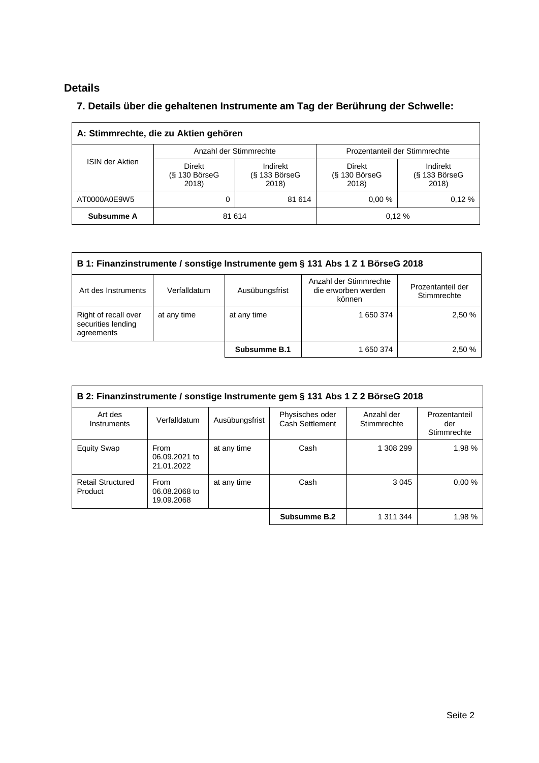## **Details**

 $\overline{\Gamma}$ 

### **7. Details über die gehaltenen Instrumente am Tag der Berührung der Schwelle:**

| A: Stimmrechte, die zu Aktien gehören |                                       |                                      |                                       |                                      |  |  |  |  |
|---------------------------------------|---------------------------------------|--------------------------------------|---------------------------------------|--------------------------------------|--|--|--|--|
| <b>ISIN der Aktien</b>                |                                       | Anzahl der Stimmrechte               | Prozentanteil der Stimmrechte         |                                      |  |  |  |  |
|                                       | Direkt<br>$(S$ 130 Börse $G$<br>2018) | Indirekt<br>$(S$ 133 BörseG<br>2018) | Direkt<br>$(S$ 130 Börse $G$<br>2018) | Indirekt<br>$(S$ 133 BörseG<br>2018) |  |  |  |  |
| AT0000A0E9W5                          | 0                                     | 81 614                               | 0.00%                                 | 0.12%                                |  |  |  |  |
| Subsumme A                            |                                       | 81 614                               |                                       | 0.12%                                |  |  |  |  |

| B 1: Finanzinstrumente / sonstige Instrumente gem § 131 Abs 1 Z 1 BörseG 2018                                 |              |                |                                                         |                                  |  |  |
|---------------------------------------------------------------------------------------------------------------|--------------|----------------|---------------------------------------------------------|----------------------------------|--|--|
| Art des Instruments                                                                                           | Verfalldatum | Ausübungsfrist | Anzahl der Stimmrechte<br>die erworben werden<br>können | Prozentanteil der<br>Stimmrechte |  |  |
| Right of recall over<br>2,50 %<br>at any time<br>at any time<br>1 650 374<br>securities lending<br>agreements |              |                |                                                         |                                  |  |  |
|                                                                                                               |              | Subsumme B.1   | 1 650 374                                               | 2.50 %                           |  |  |

| B 2: Finanzinstrumente / sonstige Instrumente gem § 131 Abs 1 Z 2 BörseG 2018 |                                            |                |                                    |                           |                                     |  |
|-------------------------------------------------------------------------------|--------------------------------------------|----------------|------------------------------------|---------------------------|-------------------------------------|--|
| Art des<br>Instruments                                                        | Verfalldatum                               | Ausübungsfrist | Physisches oder<br>Cash Settlement | Anzahl der<br>Stimmrechte | Prozentanteil<br>der<br>Stimmrechte |  |
| <b>Equity Swap</b>                                                            | <b>From</b><br>06.09.2021 to<br>21.01.2022 | at any time    | Cash                               | 1 308 299                 | 1.98%                               |  |
| <b>Retail Structured</b><br>Product                                           | From<br>06.08.2068 to<br>19.09.2068        | at any time    | Cash                               | 3 0 4 5                   | 0.00%                               |  |
|                                                                               |                                            |                | Subsumme B.2                       | 1 311 344                 | 1,98 %                              |  |

 $\overline{\phantom{0}}$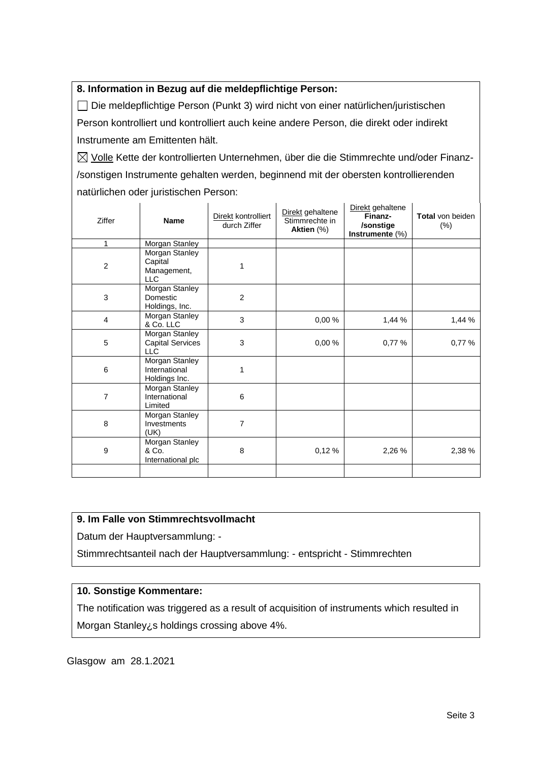#### **8. Information in Bezug auf die meldepflichtige Person:**

Die meldepflichtige Person (Punkt 3) wird nicht von einer natürlichen/juristischen Person kontrolliert und kontrolliert auch keine andere Person, die direkt oder indirekt Instrumente am Emittenten hält.

 $\boxtimes$  Volle Kette der kontrollierten Unternehmen, über die die Stimmrechte und/oder Finanz-/sonstigen Instrumente gehalten werden, beginnend mit der obersten kontrollierenden natürlichen oder juristischen Person:

| Ziffer         | <b>Name</b>                                             | Direkt kontrolliert<br>durch Ziffer | Direkt gehaltene<br>Stimmrechte in<br>Aktien (%) | Direkt gehaltene<br>Finanz-<br>/sonstige<br>Instrumente (%) | Total von beiden<br>$(\%)$ |
|----------------|---------------------------------------------------------|-------------------------------------|--------------------------------------------------|-------------------------------------------------------------|----------------------------|
| 1              | Morgan Stanley                                          |                                     |                                                  |                                                             |                            |
| $\overline{c}$ | Morgan Stanley<br>Capital<br>Management,<br>LLC         | 1                                   |                                                  |                                                             |                            |
| 3              | Morgan Stanley<br>Domestic<br>Holdings, Inc.            | $\overline{2}$                      |                                                  |                                                             |                            |
| 4              | <b>Morgan Stanley</b><br>& Co. LLC                      | 3                                   | 0,00%                                            | 1,44 %                                                      | 1,44 %                     |
| 5              | Morgan Stanley<br><b>Capital Services</b><br><b>LLC</b> | 3                                   | 0,00%                                            | 0,77 %                                                      | 0,77%                      |
| 6              | <b>Morgan Stanley</b><br>International<br>Holdings Inc. | 1                                   |                                                  |                                                             |                            |
| 7              | Morgan Stanley<br>International<br>Limited              | 6                                   |                                                  |                                                             |                            |
| 8              | Morgan Stanley<br>Investments<br>(UK)                   | 7                                   |                                                  |                                                             |                            |
| 9              | Morgan Stanley<br>& Co.<br>International plc            | 8                                   | 0,12%                                            | 2,26 %                                                      | 2,38 %                     |
|                |                                                         |                                     |                                                  |                                                             |                            |

#### **9. Im Falle von Stimmrechtsvollmacht**

Datum der Hauptversammlung: -

Stimmrechtsanteil nach der Hauptversammlung: - entspricht - Stimmrechten

#### **10. Sonstige Kommentare:**

The notification was triggered as a result of acquisition of instruments which resulted in Morgan Stanley<sub>i</sub>s holdings crossing above 4%.

Glasgow am 28.1.2021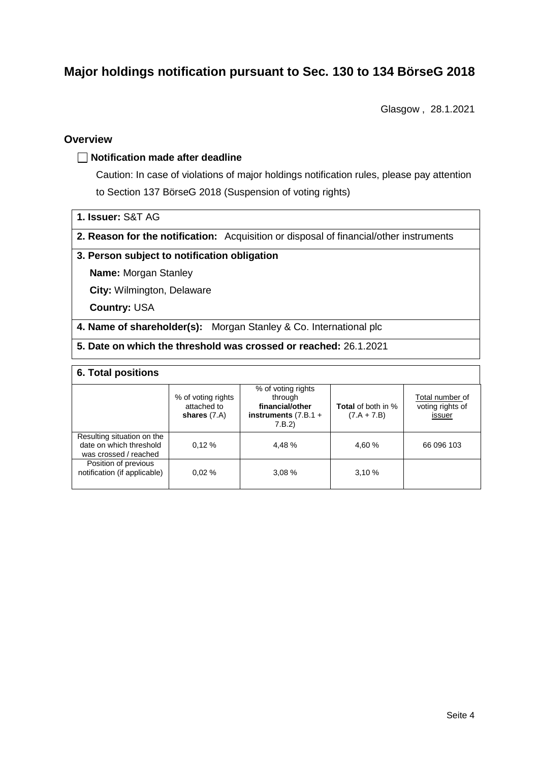# **Major holdings notification pursuant to Sec. 130 to 134 BörseG 2018**

Glasgow , 28.1.2021

#### **Overview**

#### **Notification made after deadline**

Caution: In case of violations of major holdings notification rules, please pay attention to Section 137 BörseG 2018 (Suspension of voting rights)

- **1. Issuer:** S&T AG
- **2. Reason for the notification:** Acquisition or disposal of financial/other instruments

#### **3. Person subject to notification obligation**

**Name:** Morgan Stanley

**City:** Wilmington, Delaware

**Country:** USA

**4. Name of shareholder(s):** Morgan Stanley & Co. International plc

**5. Date on which the threshold was crossed or reached:** 26.1.2021

#### **6. Total positions**

|                                                                                | % of voting rights<br>attached to<br>shares $(7.A)$ | % of voting rights<br>through<br>financial/other<br>instruments $(7.B.1 +$<br>7.B.2 | <b>Total</b> of both in %<br>$(7.A + 7.B)$ | Total number of<br>voting rights of<br>issuer |
|--------------------------------------------------------------------------------|-----------------------------------------------------|-------------------------------------------------------------------------------------|--------------------------------------------|-----------------------------------------------|
| Resulting situation on the<br>date on which threshold<br>was crossed / reached | 0.12%                                               | 4.48 %                                                                              | 4,60 %                                     | 66 096 103                                    |
| Position of previous<br>notification (if applicable)                           | 0.02%                                               | 3.08%                                                                               | 3.10%                                      |                                               |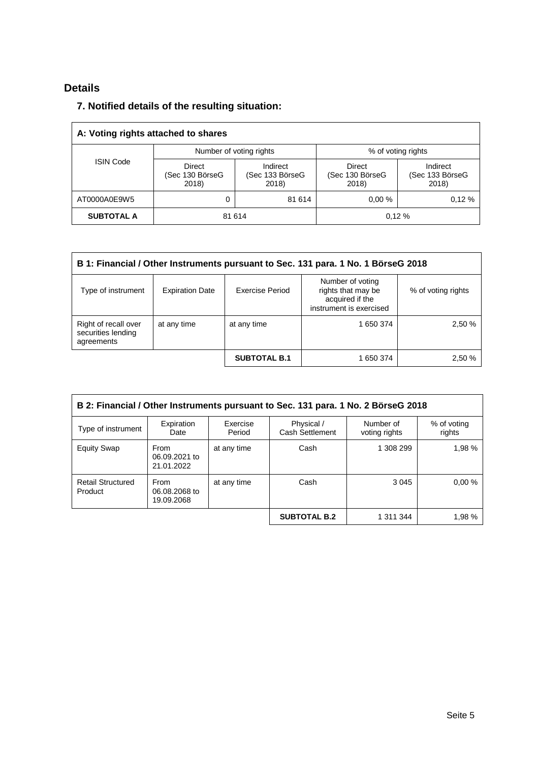## **Details**

### **7. Notified details of the resulting situation:**

| A: Voting rights attached to shares |                                    |                                      |                                    |                                      |  |  |  |
|-------------------------------------|------------------------------------|--------------------------------------|------------------------------------|--------------------------------------|--|--|--|
|                                     | Number of voting rights            |                                      | % of voting rights                 |                                      |  |  |  |
| <b>ISIN Code</b>                    | Direct<br>(Sec 130 BörseG<br>2018) | Indirect<br>(Sec 133 BörseG<br>2018) | Direct<br>(Sec 130 BörseG<br>2018) | Indirect<br>(Sec 133 BörseG<br>2018) |  |  |  |
| AT0000A0E9W5                        | 0                                  | 81 614                               | 0.00%                              | 0.12%                                |  |  |  |
| <b>SUBTOTAL A</b>                   | 81 614                             |                                      |                                    | 0.12%                                |  |  |  |

| B 1: Financial / Other Instruments pursuant to Sec. 131 para. 1 No. 1 BörseG 2018 |                        |                     |                                                                                      |                    |  |  |
|-----------------------------------------------------------------------------------|------------------------|---------------------|--------------------------------------------------------------------------------------|--------------------|--|--|
| Type of instrument                                                                | <b>Expiration Date</b> | Exercise Period     | Number of voting<br>rights that may be<br>acquired if the<br>instrument is exercised | % of voting rights |  |  |
| Right of recall over<br>securities lending<br>agreements                          | at any time            | at any time         | 1 650 374                                                                            | 2,50 %             |  |  |
|                                                                                   |                        | <b>SUBTOTAL B.1</b> | 1 650 374                                                                            | 2,50 %             |  |  |

| B 2: Financial / Other Instruments pursuant to Sec. 131 para. 1 No. 2 BörseG 2018 |                                     |                    |                               |                            |                       |  |
|-----------------------------------------------------------------------------------|-------------------------------------|--------------------|-------------------------------|----------------------------|-----------------------|--|
| Type of instrument                                                                | Expiration<br>Date                  | Exercise<br>Period | Physical /<br>Cash Settlement | Number of<br>voting rights | % of voting<br>rights |  |
| <b>Equity Swap</b>                                                                | From<br>06.09.2021 to<br>21.01.2022 | at any time        | Cash                          | 1 308 299                  | 1,98 %                |  |
| <b>Retail Structured</b><br>Product                                               | From<br>06.08.2068 to<br>19.09.2068 | at any time        | Cash                          | 3 0 4 5                    | 0.00%                 |  |
|                                                                                   |                                     |                    | <b>SUBTOTAL B.2</b>           | 1 311 344                  | 1,98 %                |  |